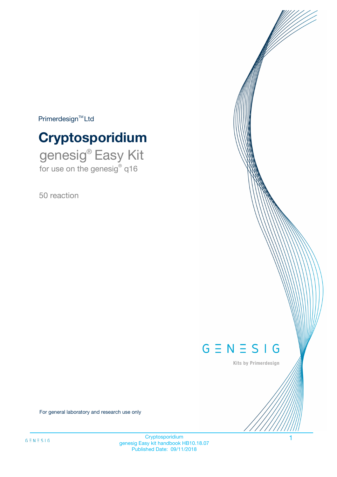$Primerdesign^{\text{TM}}Ltd$ 

# **Cryptosporidium**

genesig® Easy Kit for use on the genesig® q16

50 reaction



Kits by Primerdesign

For general laboratory and research use only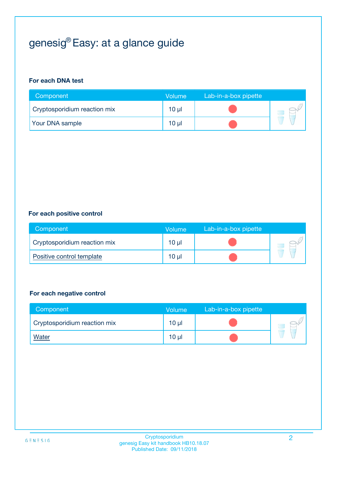# genesig® Easy: at a glance guide

#### **For each DNA test**

| Component                    | <b>Volume</b> | Lab-in-a-box pipette |  |
|------------------------------|---------------|----------------------|--|
| Cryptosporidium reaction mix | $10 \mu$      |                      |  |
| <b>Your DNA sample</b>       | 10 µl         |                      |  |

#### **For each positive control**

| Component                    | Volume          | Lab-in-a-box pipette |  |
|------------------------------|-----------------|----------------------|--|
| Cryptosporidium reaction mix | 10 µl           |                      |  |
| Positive control template    | 10 <sub>µ</sub> |                      |  |

#### **For each negative control**

| Component                    | Volume          | Lab-in-a-box pipette |  |
|------------------------------|-----------------|----------------------|--|
| Cryptosporidium reaction mix | $10 \mu$        |                      |  |
| <u>Water</u>                 | 10 <sub>µ</sub> |                      |  |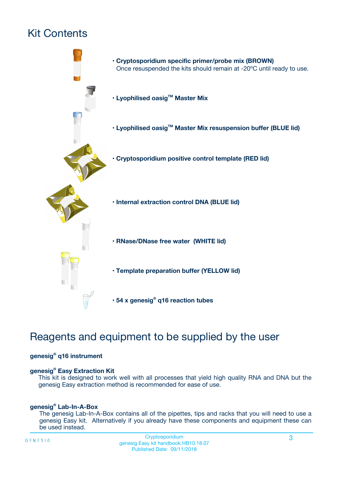# Kit Contents



## Reagents and equipment to be supplied by the user

#### **genesig® q16 instrument**

#### **genesig® Easy Extraction Kit**

This kit is designed to work well with all processes that yield high quality RNA and DNA but the genesig Easy extraction method is recommended for ease of use.

#### **genesig® Lab-In-A-Box**

The genesig Lab-In-A-Box contains all of the pipettes, tips and racks that you will need to use a genesig Easy kit. Alternatively if you already have these components and equipment these can be used instead.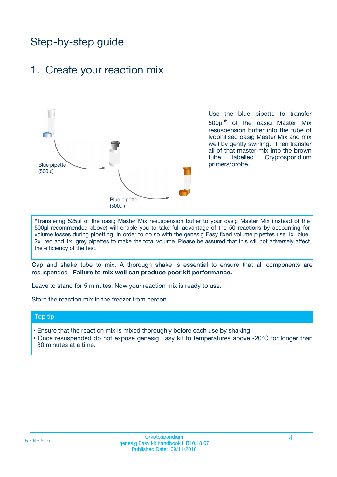## Step-by-step guide

### 1. Create your reaction mix



Use the blue pipette to transfer 500µl**\*** of the oasig Master Mix resuspension buffer into the tube of lyophilised oasig Master Mix and mix well by gently swirling. Then transfer all of that master mix into the brown tube labelled Cryptosporidium primers/probe.

**\***Transfering 525µl of the oasig Master Mix resuspension buffer to your oasig Master Mix (instead of the 500µl recommended above) will enable you to take full advantage of the 50 reactions by accounting for volume losses during pipetting. In order to do so with the genesig Easy fixed volume pipettes use 1x blue, 2x red and 1x grey pipettes to make the total volume. Please be assured that this will not adversely affect the efficiency of the test.

Cap and shake tube to mix. A thorough shake is essential to ensure that all components are resuspended. **Failure to mix well can produce poor kit performance.**

Leave to stand for 5 minutes. Now your reaction mix is ready to use.

Store the reaction mix in the freezer from hereon.

#### Top tip

- Ensure that the reaction mix is mixed thoroughly before each use by shaking.
- **•** Once resuspended do not expose genesig Easy kit to temperatures above -20°C for longer than 30 minutes at a time.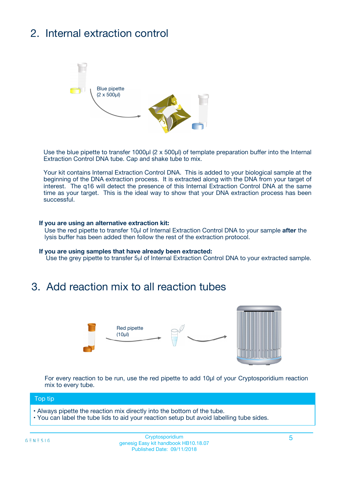# 2. Internal extraction control



Use the blue pipette to transfer 1000µl (2 x 500µl) of template preparation buffer into the Internal Extraction Control DNA tube. Cap and shake tube to mix.

Your kit contains Internal Extraction Control DNA. This is added to your biological sample at the beginning of the DNA extraction process. It is extracted along with the DNA from your target of interest. The q16 will detect the presence of this Internal Extraction Control DNA at the same time as your target. This is the ideal way to show that your DNA extraction process has been successful.

#### **If you are using an alternative extraction kit:**

Use the red pipette to transfer 10µl of Internal Extraction Control DNA to your sample **after** the lysis buffer has been added then follow the rest of the extraction protocol.

#### **If you are using samples that have already been extracted:**

Use the grey pipette to transfer 5µl of Internal Extraction Control DNA to your extracted sample.

### 3. Add reaction mix to all reaction tubes



For every reaction to be run, use the red pipette to add 10µl of your Cryptosporidium reaction mix to every tube.

#### Top tip

- Always pipette the reaction mix directly into the bottom of the tube.
- You can label the tube lids to aid your reaction setup but avoid labelling tube sides.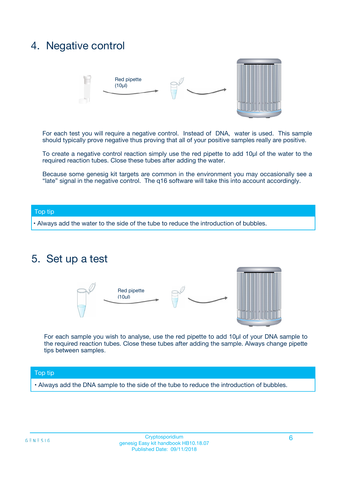## 4. Negative control



For each test you will require a negative control. Instead of DNA, water is used. This sample should typically prove negative thus proving that all of your positive samples really are positive.

To create a negative control reaction simply use the red pipette to add 10µl of the water to the required reaction tubes. Close these tubes after adding the water.

Because some genesig kit targets are common in the environment you may occasionally see a "late" signal in the negative control. The q16 software will take this into account accordingly.

#### Top tip

**•** Always add the water to the side of the tube to reduce the introduction of bubbles.

### 5. Set up a test



For each sample you wish to analyse, use the red pipette to add 10µl of your DNA sample to the required reaction tubes. Close these tubes after adding the sample. Always change pipette tips between samples.

#### Top tip

**•** Always add the DNA sample to the side of the tube to reduce the introduction of bubbles.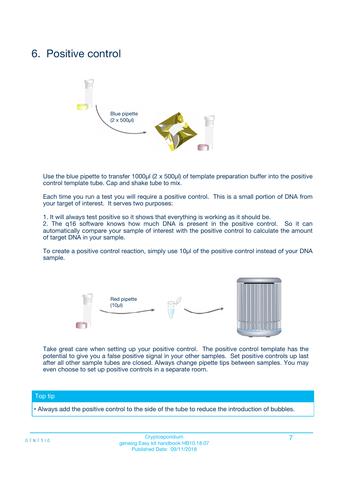## 6. Positive control



Use the blue pipette to transfer 1000µl (2 x 500µl) of template preparation buffer into the positive control template tube. Cap and shake tube to mix.

Each time you run a test you will require a positive control. This is a small portion of DNA from your target of interest. It serves two purposes:

1. It will always test positive so it shows that everything is working as it should be.

2. The q16 software knows how much DNA is present in the positive control. So it can automatically compare your sample of interest with the positive control to calculate the amount of target DNA in your sample.

To create a positive control reaction, simply use 10µl of the positive control instead of your DNA sample.



Take great care when setting up your positive control. The positive control template has the potential to give you a false positive signal in your other samples. Set positive controls up last after all other sample tubes are closed. Always change pipette tips between samples. You may even choose to set up positive controls in a separate room.

#### Top tip

**•** Always add the positive control to the side of the tube to reduce the introduction of bubbles.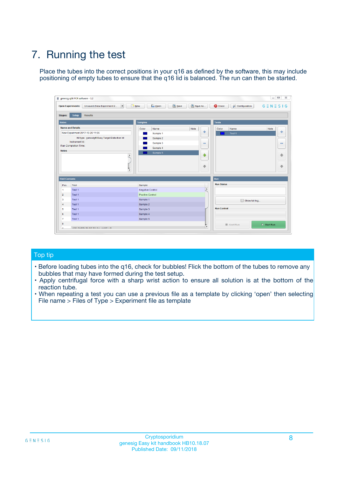# 7. Running the test

Place the tubes into the correct positions in your q16 as defined by the software, this may include positioning of empty tubes to ensure that the q16 lid is balanced. The run can then be started.

| genesig q16 PCR software - 1.2                                               |                                     | $\Box$                                                                                  |
|------------------------------------------------------------------------------|-------------------------------------|-----------------------------------------------------------------------------------------|
| Unsaved (New Experiment 2<br>$\vert \cdot \vert$<br><b>Open Experiments:</b> | <b>D</b> Open<br>Save<br>$\Box$ New | Save As<br><b>C</b> Close<br>$G \equiv N \equiv S \mid G$<br><b>&amp; Configuration</b> |
| Setup<br><b>Results</b><br><b>Stages:</b>                                    |                                     |                                                                                         |
| <b>Notes</b>                                                                 | Samples                             | <b>Tests</b>                                                                            |
| <b>Name and Details</b>                                                      | Color<br>Name                       | Note<br>Color<br>Note<br>Name                                                           |
| New Experiment 2017-10-26 11:06                                              | Sample 1                            | ع<br>条<br>Test 1                                                                        |
| Kit type: genesig® Easy Target Detection kit                                 | Sample 2                            |                                                                                         |
| Instrument Id.:                                                              | Sample 3                            | $\qquad \qquad \blacksquare$<br>$\qquad \qquad \blacksquare$                            |
| Run Completion Time:                                                         | Sample 4                            |                                                                                         |
| <b>Notes</b>                                                                 | Sample 5<br>A<br>v                  | $\triangle$<br>4<br>$\oplus$<br>₩                                                       |
| <b>Well Contents</b>                                                         |                                     | <b>Run</b>                                                                              |
| Pos.<br>Test                                                                 | Sample                              | <b>Run Status</b>                                                                       |
| Test 1<br>-1                                                                 | <b>Negative Control</b>             | $\blacktriangle$                                                                        |
| $\overline{2}$<br>Test 1                                                     | <b>Positive Control</b>             |                                                                                         |
| $\overline{\mathbf{3}}$<br>Test 1                                            | Sample 1                            | Show full log                                                                           |
| Test 1<br>$\overline{4}$                                                     | Sample 2                            |                                                                                         |
| 5<br>Test 1                                                                  | Sample 3                            | <b>Run Control</b>                                                                      |
| 6<br>Test 1                                                                  | Sample 4                            |                                                                                         |
| $\overline{7}$<br>Test 1                                                     | Sample 5                            |                                                                                         |
| 8                                                                            |                                     | $\triangleright$ Start Run<br>Abort Run                                                 |
| <b>JOD FURTY TUDE TO BUILDED IN</b>                                          |                                     | $\overline{\mathbf{v}}$                                                                 |

#### Top tip

- Before loading tubes into the q16, check for bubbles! Flick the bottom of the tubes to remove any bubbles that may have formed during the test setup.
- Apply centrifugal force with a sharp wrist action to ensure all solution is at the bottom of the reaction tube.
- When repeating a test you can use a previous file as a template by clicking 'open' then selecting File name > Files of Type > Experiment file as template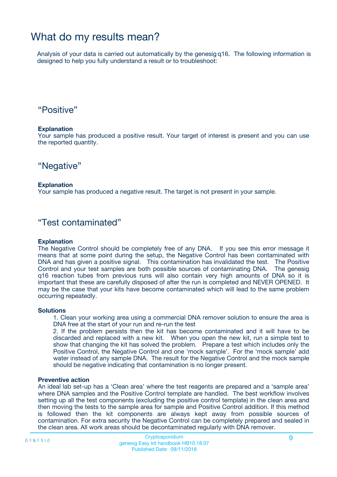## What do my results mean?

Analysis of your data is carried out automatically by the genesig q16. The following information is designed to help you fully understand a result or to troubleshoot:

### "Positive"

#### **Explanation**

Your sample has produced a positive result. Your target of interest is present and you can use the reported quantity.

"Negative"

#### **Explanation**

Your sample has produced a negative result. The target is not present in your sample.

### "Test contaminated"

#### **Explanation**

The Negative Control should be completely free of any DNA. If you see this error message it means that at some point during the setup, the Negative Control has been contaminated with DNA and has given a positive signal. This contamination has invalidated the test. The Positive Control and your test samples are both possible sources of contaminating DNA. The genesig q16 reaction tubes from previous runs will also contain very high amounts of DNA so it is important that these are carefully disposed of after the run is completed and NEVER OPENED. It may be the case that your kits have become contaminated which will lead to the same problem occurring repeatedly.

#### **Solutions**

1. Clean your working area using a commercial DNA remover solution to ensure the area is DNA free at the start of your run and re-run the test

2. If the problem persists then the kit has become contaminated and it will have to be discarded and replaced with a new kit. When you open the new kit, run a simple test to show that changing the kit has solved the problem. Prepare a test which includes only the Positive Control, the Negative Control and one 'mock sample'. For the 'mock sample' add water instead of any sample DNA. The result for the Negative Control and the mock sample should be negative indicating that contamination is no longer present.

#### **Preventive action**

An ideal lab set-up has a 'Clean area' where the test reagents are prepared and a 'sample area' where DNA samples and the Positive Control template are handled. The best workflow involves setting up all the test components (excluding the positive control template) in the clean area and then moving the tests to the sample area for sample and Positive Control addition. If this method is followed then the kit components are always kept away from possible sources of contamination. For extra security the Negative Control can be completely prepared and sealed in the clean area. All work areas should be decontaminated regularly with DNA remover.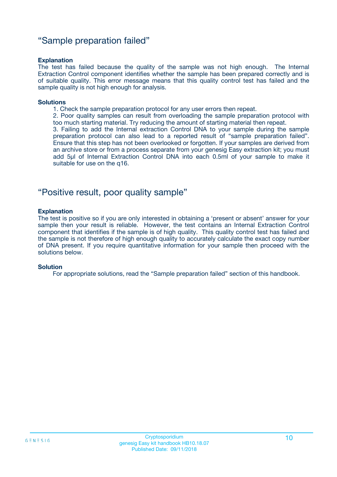### "Sample preparation failed"

#### **Explanation**

The test has failed because the quality of the sample was not high enough. The Internal Extraction Control component identifies whether the sample has been prepared correctly and is of suitable quality. This error message means that this quality control test has failed and the sample quality is not high enough for analysis.

#### **Solutions**

1. Check the sample preparation protocol for any user errors then repeat.

2. Poor quality samples can result from overloading the sample preparation protocol with too much starting material. Try reducing the amount of starting material then repeat.

3. Failing to add the Internal extraction Control DNA to your sample during the sample preparation protocol can also lead to a reported result of "sample preparation failed". Ensure that this step has not been overlooked or forgotten. If your samples are derived from an archive store or from a process separate from your genesig Easy extraction kit; you must add 5µl of Internal Extraction Control DNA into each 0.5ml of your sample to make it suitable for use on the q16.

### "Positive result, poor quality sample"

#### **Explanation**

The test is positive so if you are only interested in obtaining a 'present or absent' answer for your sample then your result is reliable. However, the test contains an Internal Extraction Control component that identifies if the sample is of high quality. This quality control test has failed and the sample is not therefore of high enough quality to accurately calculate the exact copy number of DNA present. If you require quantitative information for your sample then proceed with the solutions below.

#### **Solution**

For appropriate solutions, read the "Sample preparation failed" section of this handbook.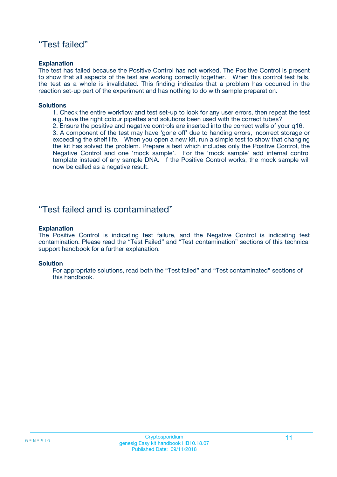### "Test failed"

#### **Explanation**

The test has failed because the Positive Control has not worked. The Positive Control is present to show that all aspects of the test are working correctly together. When this control test fails, the test as a whole is invalidated. This finding indicates that a problem has occurred in the reaction set-up part of the experiment and has nothing to do with sample preparation.

#### **Solutions**

- 1. Check the entire workflow and test set-up to look for any user errors, then repeat the test e.g. have the right colour pipettes and solutions been used with the correct tubes?
- 2. Ensure the positive and negative controls are inserted into the correct wells of your q16.

3. A component of the test may have 'gone off' due to handing errors, incorrect storage or exceeding the shelf life. When you open a new kit, run a simple test to show that changing the kit has solved the problem. Prepare a test which includes only the Positive Control, the Negative Control and one 'mock sample'. For the 'mock sample' add internal control template instead of any sample DNA. If the Positive Control works, the mock sample will now be called as a negative result.

### "Test failed and is contaminated"

#### **Explanation**

The Positive Control is indicating test failure, and the Negative Control is indicating test contamination. Please read the "Test Failed" and "Test contamination" sections of this technical support handbook for a further explanation.

#### **Solution**

For appropriate solutions, read both the "Test failed" and "Test contaminated" sections of this handbook.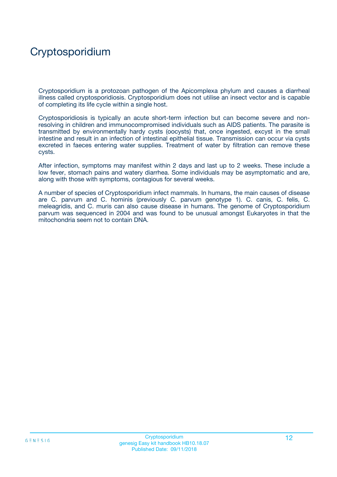# Cryptosporidium

Cryptosporidium is a protozoan pathogen of the Apicomplexa phylum and causes a diarrheal illness called cryptosporidiosis. Cryptosporidium does not utilise an insect vector and is capable of completing its life cycle within a single host.

Cryptosporidiosis is typically an acute short-term infection but can become severe and nonresolving in children and immunocompromised individuals such as AIDS patients. The parasite is transmitted by environmentally hardy cysts (oocysts) that, once ingested, excyst in the small intestine and result in an infection of intestinal epithelial tissue. Transmission can occur via cysts excreted in faeces entering water supplies. Treatment of water by filtration can remove these cysts.

After infection, symptoms may manifest within 2 days and last up to 2 weeks. These include a low fever, stomach pains and watery diarrhea. Some individuals may be asymptomatic and are, along with those with symptoms, contagious for several weeks.

A number of species of Cryptosporidium infect mammals. In humans, the main causes of disease are C. parvum and C. hominis (previously C. parvum genotype 1). C. canis, C. felis, C. meleagridis, and C. muris can also cause disease in humans. The genome of Cryptosporidium parvum was sequenced in 2004 and was found to be unusual amongst Eukaryotes in that the mitochondria seem not to contain DNA.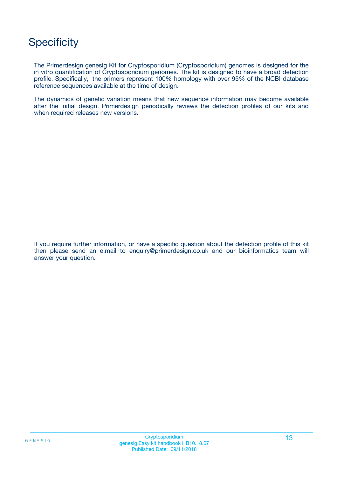## **Specificity**

The Primerdesign genesig Kit for Cryptosporidium (Cryptosporidium) genomes is designed for the in vitro quantification of Cryptosporidium genomes. The kit is designed to have a broad detection profile. Specifically, the primers represent 100% homology with over 95% of the NCBI database reference sequences available at the time of design.

The dynamics of genetic variation means that new sequence information may become available after the initial design. Primerdesign periodically reviews the detection profiles of our kits and when required releases new versions.

If you require further information, or have a specific question about the detection profile of this kit then please send an e.mail to enquiry@primerdesign.co.uk and our bioinformatics team will answer your question.